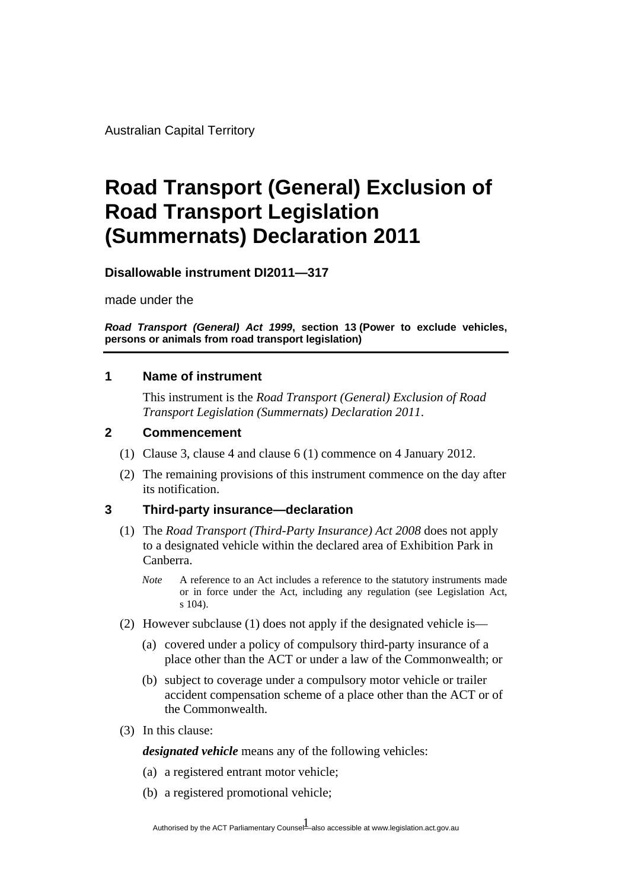Australian Capital Territory

# **Road Transport (General) Exclusion of Road Transport Legislation (Summernats) Declaration 2011**

**Disallowable instrument DI2011—317**

made under the

*Road Transport (General) Act 1999***, section 13 (Power to exclude vehicles, persons or animals from road transport legislation)**

# **1 Name of instrument**

This instrument is the *Road Transport (General) Exclusion of Road Transport Legislation (Summernats) Declaration 2011*.

# **2 Commencement**

- (1) Clause 3, clause 4 and clause 6 (1) commence on 4 January 2012.
- (2) The remaining provisions of this instrument commence on the day after its notification.

#### **3 Third-party insurance—declaration**

- (1) The *Road Transport (Third-Party Insurance) Act 2008* does not apply to a designated vehicle within the declared area of Exhibition Park in Canberra.
	- *Note* A reference to an Act includes a reference to the statutory instruments made or in force under the Act, including any regulation (see Legislation Act, s 104).
- (2) However subclause (1) does not apply if the designated vehicle is—
	- (a) covered under a policy of compulsory third-party insurance of a place other than the ACT or under a law of the Commonwealth; or
	- (b) subject to coverage under a compulsory motor vehicle or trailer accident compensation scheme of a place other than the ACT or of the Commonwealth.
- (3) In this clause:

*designated vehicle* means any of the following vehicles:

- (a) a registered entrant motor vehicle;
- (b) a registered promotional vehicle;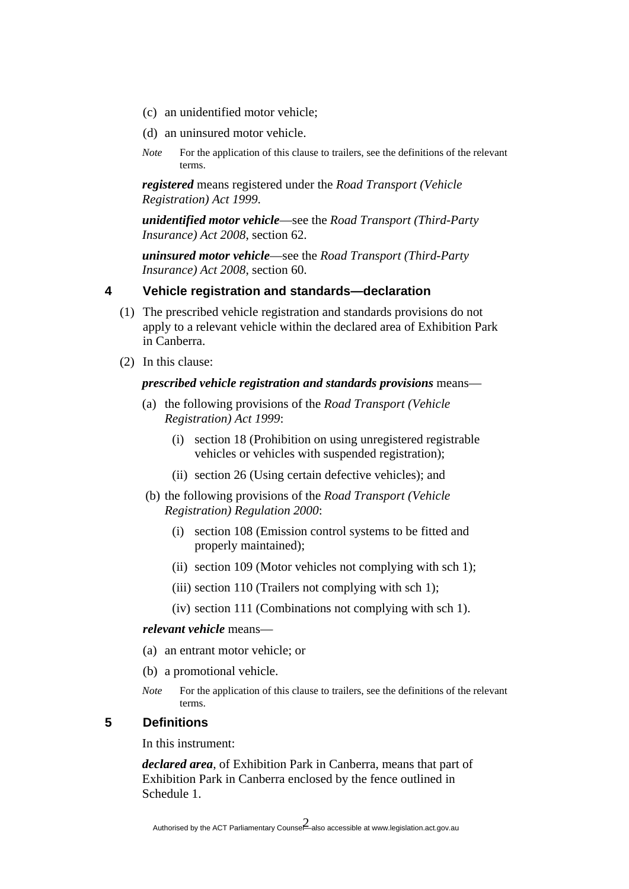- (c) an unidentified motor vehicle;
- (d) an uninsured motor vehicle.
- *Note* For the application of this clause to trailers, see the definitions of the relevant terms.

*registered* means registered under the *Road Transport (Vehicle Registration) Act 1999*.

*unidentified motor vehicle*—see the *Road Transport (Third-Party Insurance) Act 2008*, section 62.

*uninsured motor vehicle*—see the *Road Transport (Third-Party Insurance) Act 2008*, section 60.

# **4 Vehicle registration and standards—declaration**

- (1) The prescribed vehicle registration and standards provisions do not apply to a relevant vehicle within the declared area of Exhibition Park in Canberra.
- (2) In this clause:

#### *prescribed vehicle registration and standards provisions* means—

- (a) the following provisions of the *Road Transport (Vehicle Registration) Act 1999*:
	- (i) section 18 (Prohibition on using unregistered registrable vehicles or vehicles with suspended registration);
	- (ii) section 26 (Using certain defective vehicles); and
- (b) the following provisions of the *Road Transport (Vehicle Registration) Regulation 2000*:
	- (i) section 108 (Emission control systems to be fitted and properly maintained);
	- (ii) section 109 (Motor vehicles not complying with sch 1);
	- (iii) section 110 (Trailers not complying with sch 1);
	- (iv) section 111 (Combinations not complying with sch 1).

#### *relevant vehicle* means—

- (a) an entrant motor vehicle; or
- (b) a promotional vehicle.
- *Note* For the application of this clause to trailers, see the definitions of the relevant terms.

# **5 Definitions**

In this instrument:

*declared area*, of Exhibition Park in Canberra, means that part of Exhibition Park in Canberra enclosed by the fence outlined in Schedule 1.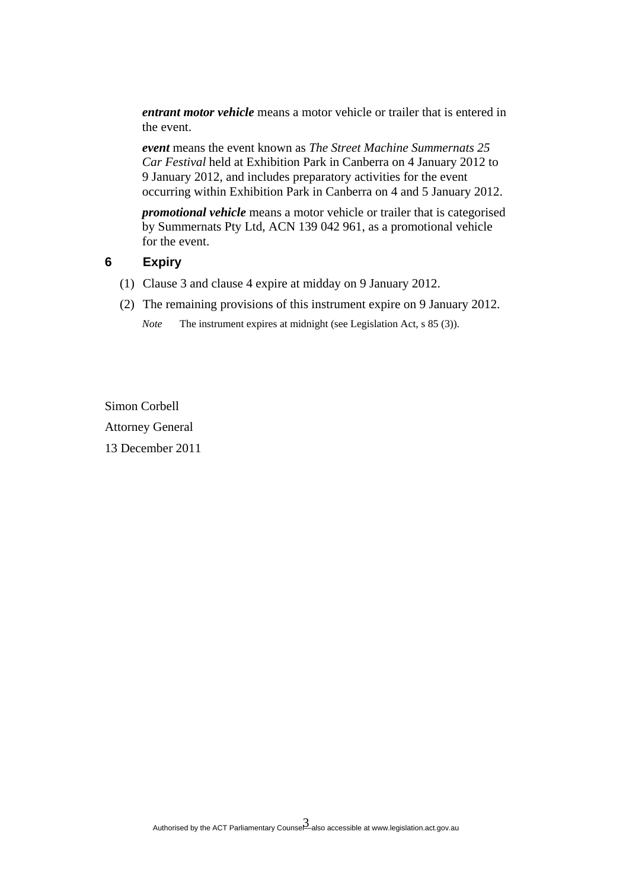*entrant motor vehicle* means a motor vehicle or trailer that is entered in the event.

*event* means the event known as *The Street Machine Summernats 25 Car Festival* held at Exhibition Park in Canberra on 4 January 2012 to 9 January 2012, and includes preparatory activities for the event occurring within Exhibition Park in Canberra on 4 and 5 January 2012.

*promotional vehicle* means a motor vehicle or trailer that is categorised by Summernats Pty Ltd, ACN 139 042 961, as a promotional vehicle for the event.

#### **6 Expiry**

- (1) Clause 3 and clause 4 expire at midday on 9 January 2012.
- (2) The remaining provisions of this instrument expire on 9 January 2012.

*Note* The instrument expires at midnight (see Legislation Act, s 85 (3)).

Simon Corbell Attorney General 13 December 2011